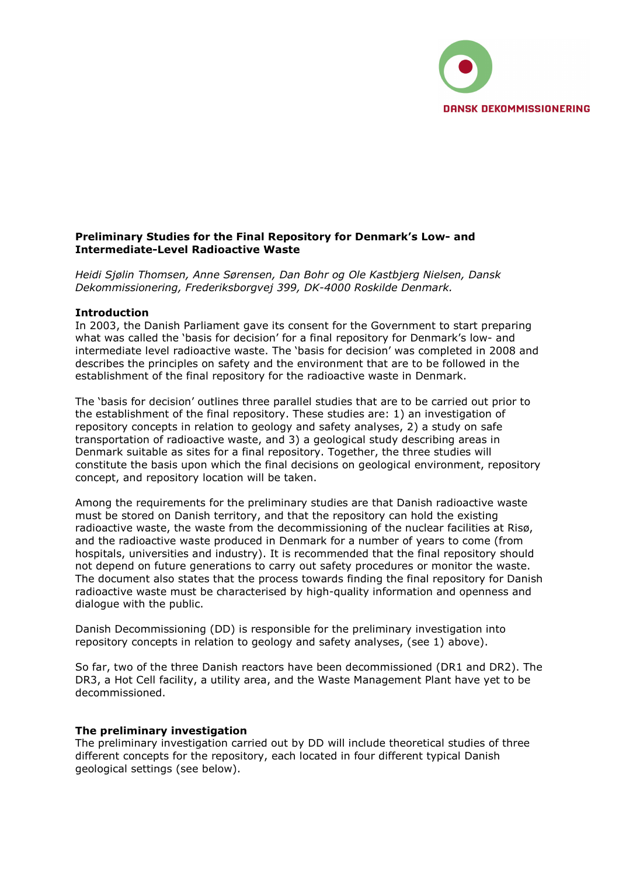

## Preliminary Studies for the Final Repository for Denmark's Low- and Intermediate-Level Radioactive Waste

Heidi Sjølin Thomsen, Anne Sørensen, Dan Bohr og Ole Kastbjerg Nielsen, Dansk Dekommissionering, Frederiksborgvej 399, DK-4000 Roskilde Denmark.

### Introduction

In 2003, the Danish Parliament gave its consent for the Government to start preparing what was called the 'basis for decision' for a final repository for Denmark's low- and intermediate level radioactive waste. The 'basis for decision' was completed in 2008 and describes the principles on safety and the environment that are to be followed in the establishment of the final repository for the radioactive waste in Denmark.

The 'basis for decision' outlines three parallel studies that are to be carried out prior to the establishment of the final repository. These studies are: 1) an investigation of repository concepts in relation to geology and safety analyses, 2) a study on safe transportation of radioactive waste, and 3) a geological study describing areas in Denmark suitable as sites for a final repository. Together, the three studies will constitute the basis upon which the final decisions on geological environment, repository concept, and repository location will be taken.

Among the requirements for the preliminary studies are that Danish radioactive waste must be stored on Danish territory, and that the repository can hold the existing radioactive waste, the waste from the decommissioning of the nuclear facilities at Risø, and the radioactive waste produced in Denmark for a number of years to come (from hospitals, universities and industry). It is recommended that the final repository should not depend on future generations to carry out safety procedures or monitor the waste. The document also states that the process towards finding the final repository for Danish radioactive waste must be characterised by high-quality information and openness and dialogue with the public.

Danish Decommissioning (DD) is responsible for the preliminary investigation into repository concepts in relation to geology and safety analyses, (see 1) above).

So far, two of the three Danish reactors have been decommissioned (DR1 and DR2). The DR3, a Hot Cell facility, a utility area, and the Waste Management Plant have yet to be decommissioned.

### The preliminary investigation

The preliminary investigation carried out by DD will include theoretical studies of three different concepts for the repository, each located in four different typical Danish geological settings (see below).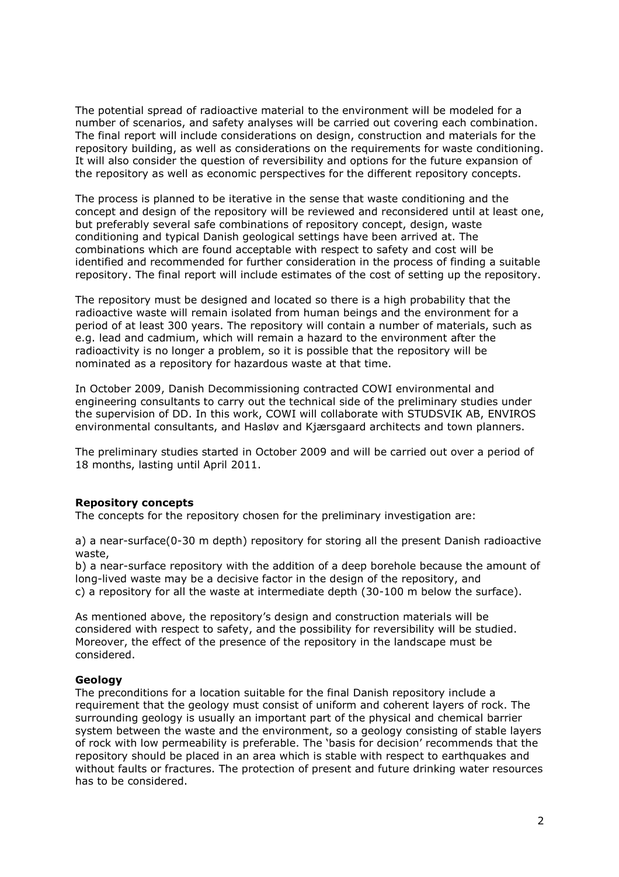The potential spread of radioactive material to the environment will be modeled for a number of scenarios, and safety analyses will be carried out covering each combination. The final report will include considerations on design, construction and materials for the repository building, as well as considerations on the requirements for waste conditioning. It will also consider the question of reversibility and options for the future expansion of the repository as well as economic perspectives for the different repository concepts.

The process is planned to be iterative in the sense that waste conditioning and the concept and design of the repository will be reviewed and reconsidered until at least one, but preferably several safe combinations of repository concept, design, waste conditioning and typical Danish geological settings have been arrived at. The combinations which are found acceptable with respect to safety and cost will be identified and recommended for further consideration in the process of finding a suitable repository. The final report will include estimates of the cost of setting up the repository.

The repository must be designed and located so there is a high probability that the radioactive waste will remain isolated from human beings and the environment for a period of at least 300 years. The repository will contain a number of materials, such as e.g. lead and cadmium, which will remain a hazard to the environment after the radioactivity is no longer a problem, so it is possible that the repository will be nominated as a repository for hazardous waste at that time.

In October 2009, Danish Decommissioning contracted COWI environmental and engineering consultants to carry out the technical side of the preliminary studies under the supervision of DD. In this work, COWI will collaborate with STUDSVIK AB, ENVIROS environmental consultants, and Hasløv and Kjærsgaard architects and town planners.

The preliminary studies started in October 2009 and will be carried out over a period of 18 months, lasting until April 2011.

### Repository concepts

The concepts for the repository chosen for the preliminary investigation are:

a) a near-surface(0-30 m depth) repository for storing all the present Danish radioactive waste,

b) a near-surface repository with the addition of a deep borehole because the amount of long-lived waste may be a decisive factor in the design of the repository, and c) a repository for all the waste at intermediate depth (30-100 m below the surface).

As mentioned above, the repository's design and construction materials will be considered with respect to safety, and the possibility for reversibility will be studied. Moreover, the effect of the presence of the repository in the landscape must be considered.

### Geology

The preconditions for a location suitable for the final Danish repository include a requirement that the geology must consist of uniform and coherent layers of rock. The surrounding geology is usually an important part of the physical and chemical barrier system between the waste and the environment, so a geology consisting of stable layers of rock with low permeability is preferable. The 'basis for decision' recommends that the repository should be placed in an area which is stable with respect to earthquakes and without faults or fractures. The protection of present and future drinking water resources has to be considered.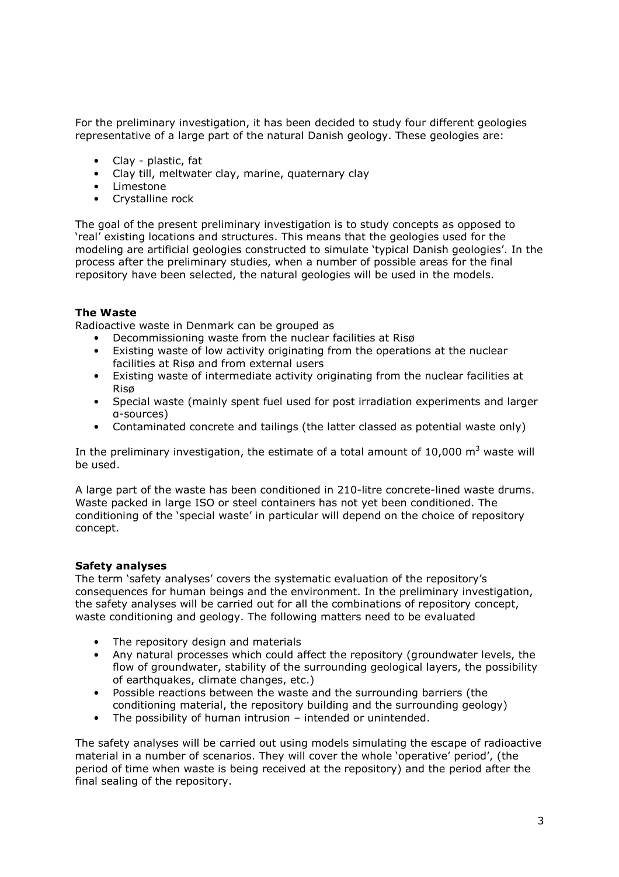For the preliminary investigation, it has been decided to study four different geologies representative of a large part of the natural Danish geology. These geologies are:

- Clay plastic, fat
- Clay till, meltwater clay, marine, quaternary clay
- Limestone
- Crystalline rock

The goal of the present preliminary investigation is to study concepts as opposed to 'real' existing locations and structures. This means that the geologies used for the modeling are artificial geologies constructed to simulate 'typical Danish geologies'. In the process after the preliminary studies, when a number of possible areas for the final repository have been selected, the natural geologies will be used in the models.

# The Waste

Radioactive waste in Denmark can be grouped as

- Decommissioning waste from the nuclear facilities at Risø
- Existing waste of low activity originating from the operations at the nuclear facilities at Risø and from external users
- Existing waste of intermediate activity originating from the nuclear facilities at Risø
- Special waste (mainly spent fuel used for post irradiation experiments and larger α-sources)
- Contaminated concrete and tailings (the latter classed as potential waste only)

In the preliminary investigation, the estimate of a total amount of 10,000 m<sup>3</sup> waste will be used.

A large part of the waste has been conditioned in 210-litre concrete-lined waste drums. Waste packed in large ISO or steel containers has not yet been conditioned. The conditioning of the 'special waste' in particular will depend on the choice of repository concept.

### Safety analyses

The term 'safety analyses' covers the systematic evaluation of the repository's consequences for human beings and the environment. In the preliminary investigation, the safety analyses will be carried out for all the combinations of repository concept, waste conditioning and geology. The following matters need to be evaluated

- The repository design and materials
- Any natural processes which could affect the repository (groundwater levels, the flow of groundwater, stability of the surrounding geological layers, the possibility of earthquakes, climate changes, etc.)
- Possible reactions between the waste and the surrounding barriers (the conditioning material, the repository building and the surrounding geology)
- The possibility of human intrusion intended or unintended.

The safety analyses will be carried out using models simulating the escape of radioactive material in a number of scenarios. They will cover the whole 'operative' period', (the period of time when waste is being received at the repository) and the period after the final sealing of the repository.